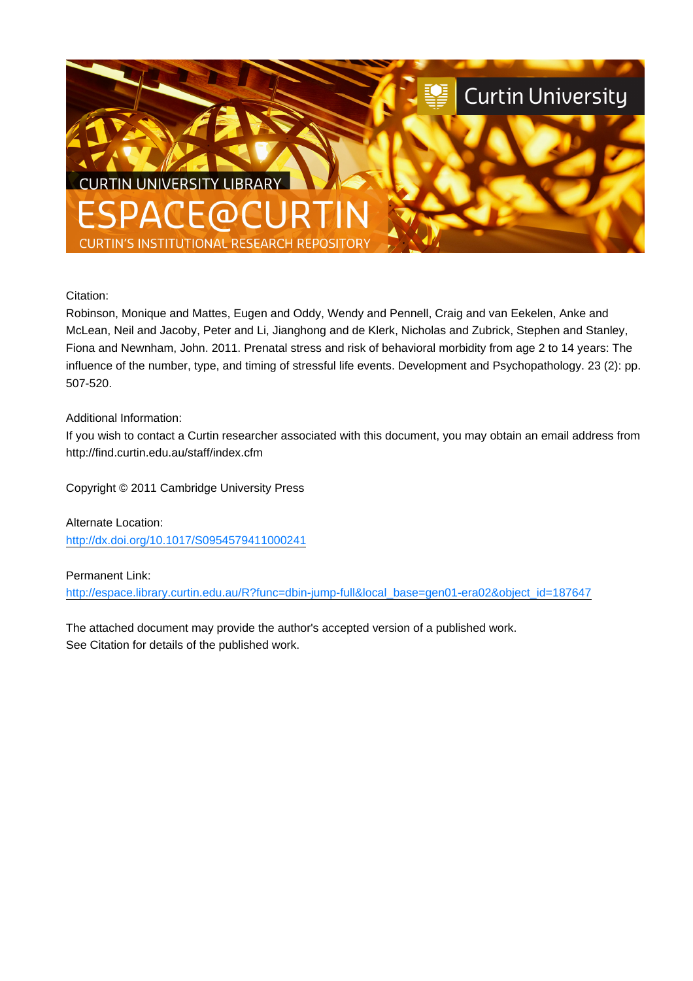

Citation:

Robinson, Monique and Mattes, Eugen and Oddy, Wendy and Pennell, Craig and van Eekelen, Anke and McLean, Neil and Jacoby, Peter and Li, Jianghong and de Klerk, Nicholas and Zubrick, Stephen and Stanley, Fiona and Newnham, John. 2011. Prenatal stress and risk of behavioral morbidity from age 2 to 14 years: The influence of the number, type, and timing of stressful life events. Development and Psychopathology. 23 (2): pp. 507-520.

Additional Information:

If you wish to contact a Curtin researcher associated with this document, you may obtain an email address from http://find.curtin.edu.au/staff/index.cfm

Copyright © 2011 Cambridge University Press

<http://dx.doi.org/10.1017/S0954579411000241> Alternate Location:

Permanent Link:

[http://espace.library.curtin.edu.au/R?func=dbin-jump-full&local\\_base=gen01-era02&object\\_id=187647](http://espace.library.curtin.edu.au/R?func=dbin-jump-full&local_base=gen01-era02&object_id=187647)

The attached document may provide the author's accepted version of a published work. See Citation for details of the published work.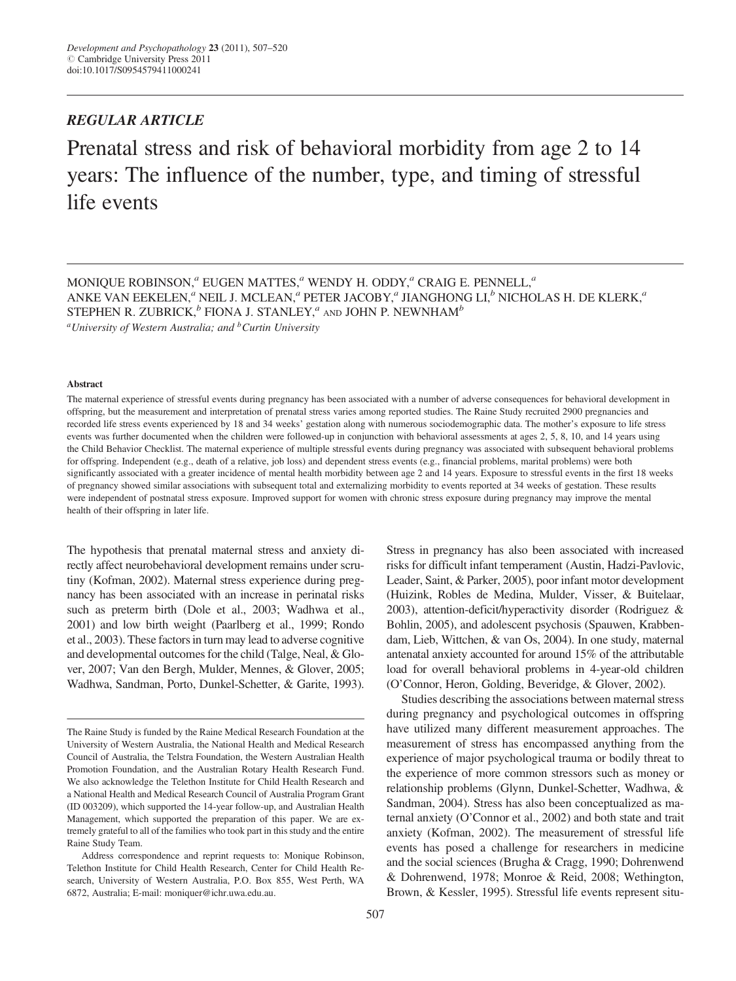# REGULAR ARTICLE

Prenatal stress and risk of behavioral morbidity from age 2 to 14 years: The influence of the number, type, and timing of stressful life events

MONIQUE ROBINSON,<sup> $a$ </sup> EUGEN MATTES, $a$ <sup>*N*</sup> WENDY H. ODDY, $a$ <sup>*CRAIG E. PENNELL*, $a$ <sup>*N*</sup></sup> ANKE VAN EEKELEN,<sup>a</sup> NEIL J. MCLEAN,<sup>a</sup> PETER JACOBY,<sup>a</sup> JIANGHONG LI,<sup>b</sup> NICHOLAS H. DE KLERK,<sup>a</sup> STEPHEN R. ZUBRICK, $b$  FIONA J. STANLEY, $a$  and JOHN P. NEWNHAM $b$ <sup>a</sup>University of Western Australia; and  $^{b}$ Curtin University

#### Abstract

The maternal experience of stressful events during pregnancy has been associated with a number of adverse consequences for behavioral development in offspring, but the measurement and interpretation of prenatal stress varies among reported studies. The Raine Study recruited 2900 pregnancies and recorded life stress events experienced by 18 and 34 weeks' gestation along with numerous sociodemographic data. The mother's exposure to life stress events was further documented when the children were followed-up in conjunction with behavioral assessments at ages 2, 5, 8, 10, and 14 years using the Child Behavior Checklist. The maternal experience of multiple stressful events during pregnancy was associated with subsequent behavioral problems for offspring. Independent (e.g., death of a relative, job loss) and dependent stress events (e.g., financial problems, marital problems) were both significantly associated with a greater incidence of mental health morbidity between age 2 and 14 years. Exposure to stressful events in the first 18 weeks of pregnancy showed similar associations with subsequent total and externalizing morbidity to events reported at 34 weeks of gestation. These results were independent of postnatal stress exposure. Improved support for women with chronic stress exposure during pregnancy may improve the mental health of their offspring in later life.

The hypothesis that prenatal maternal stress and anxiety directly affect neurobehavioral development remains under scrutiny (Kofman, 2002). Maternal stress experience during pregnancy has been associated with an increase in perinatal risks such as preterm birth (Dole et al., 2003; Wadhwa et al., 2001) and low birth weight (Paarlberg et al., 1999; Rondo et al., 2003). These factors in turn may lead to adverse cognitive and developmental outcomes for the child (Talge, Neal, & Glover, 2007; Van den Bergh, Mulder, Mennes, & Glover, 2005; Wadhwa, Sandman, Porto, Dunkel-Schetter, & Garite, 1993).

Stress in pregnancy has also been associated with increased risks for difficult infant temperament (Austin, Hadzi-Pavlovic, Leader, Saint, & Parker, 2005), poor infant motor development (Huizink, Robles de Medina, Mulder, Visser, & Buitelaar, 2003), attention-deficit/hyperactivity disorder (Rodriguez & Bohlin, 2005), and adolescent psychosis (Spauwen, Krabbendam, Lieb, Wittchen, & van Os, 2004). In one study, maternal antenatal anxiety accounted for around 15% of the attributable load for overall behavioral problems in 4-year-old children (O'Connor, Heron, Golding, Beveridge, & Glover, 2002).

Studies describing the associations between maternal stress during pregnancy and psychological outcomes in offspring have utilized many different measurement approaches. The measurement of stress has encompassed anything from the experience of major psychological trauma or bodily threat to the experience of more common stressors such as money or relationship problems (Glynn, Dunkel-Schetter, Wadhwa, & Sandman, 2004). Stress has also been conceptualized as maternal anxiety (O'Connor et al., 2002) and both state and trait anxiety (Kofman, 2002). The measurement of stressful life events has posed a challenge for researchers in medicine and the social sciences (Brugha & Cragg, 1990; Dohrenwend & Dohrenwend, 1978; Monroe & Reid, 2008; Wethington, Brown, & Kessler, 1995). Stressful life events represent situ-

The Raine Study is funded by the Raine Medical Research Foundation at the University of Western Australia, the National Health and Medical Research Council of Australia, the Telstra Foundation, the Western Australian Health Promotion Foundation, and the Australian Rotary Health Research Fund. We also acknowledge the Telethon Institute for Child Health Research and a National Health and Medical Research Council of Australia Program Grant (ID 003209), which supported the 14-year follow-up, and Australian Health Management, which supported the preparation of this paper. We are extremely grateful to all of the families who took part in this study and the entire Raine Study Team.

Address correspondence and reprint requests to: Monique Robinson, Telethon Institute for Child Health Research, Center for Child Health Research, University of Western Australia, P.O. Box 855, West Perth, WA 6872, Australia; E-mail: moniquer@ichr.uwa.edu.au.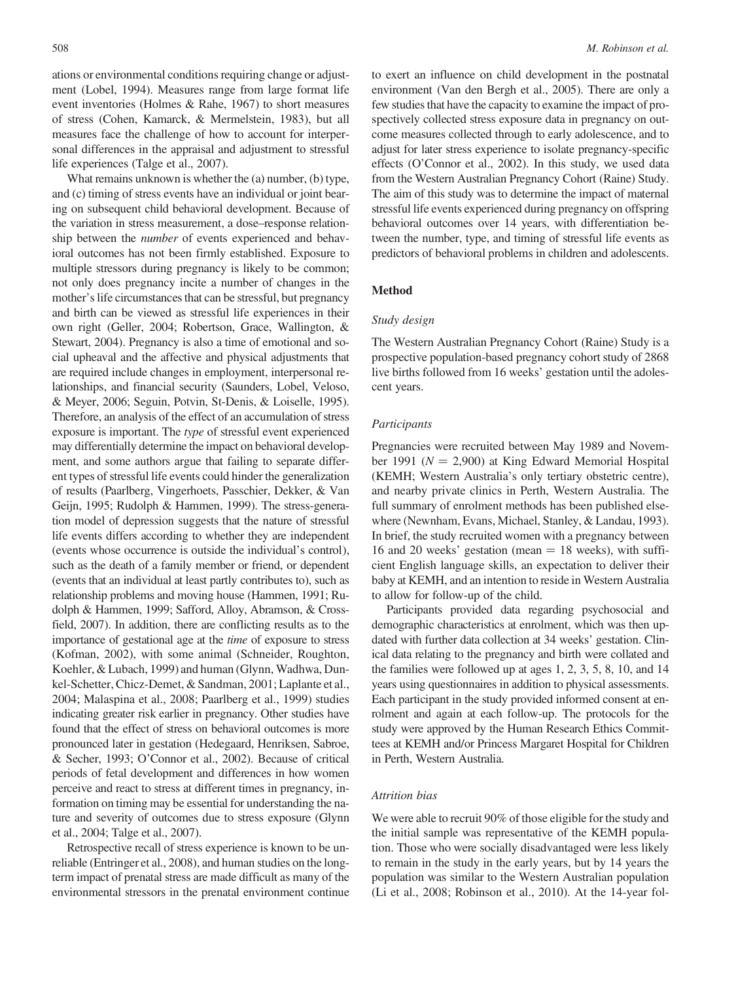ations or environmental conditions requiring change or adjustment (Lobel, 1994). Measures range from large format life event inventories (Holmes & Rahe, 1967) to short measures of stress (Cohen, Kamarck, & Mermelstein, 1983), but all measures face the challenge of how to account for interpersonal differences in the appraisal and adjustment to stressful life experiences (Talge et al., 2007).

What remains unknown is whether the (a) number, (b) type, and (c) timing of stress events have an individual or joint bearing on subsequent child behavioral development. Because of the variation in stress measurement, a dose–response relationship between the number of events experienced and behavioral outcomes has not been firmly established. Exposure to multiple stressors during pregnancy is likely to be common; not only does pregnancy incite a number of changes in the mother's life circumstances that can be stressful, but pregnancy and birth can be viewed as stressful life experiences in their own right (Geller, 2004; Robertson, Grace, Wallington, & Stewart, 2004). Pregnancy is also a time of emotional and social upheaval and the affective and physical adjustments that are required include changes in employment, interpersonal relationships, and financial security (Saunders, Lobel, Veloso, & Meyer, 2006; Seguin, Potvin, St-Denis, & Loiselle, 1995). Therefore, an analysis of the effect of an accumulation of stress exposure is important. The type of stressful event experienced may differentially determine the impact on behavioral development, and some authors argue that failing to separate different types of stressful life events could hinder the generalization of results (Paarlberg, Vingerhoets, Passchier, Dekker, & Van Geijn, 1995; Rudolph & Hammen, 1999). The stress-generation model of depression suggests that the nature of stressful life events differs according to whether they are independent (events whose occurrence is outside the individual's control), such as the death of a family member or friend, or dependent (events that an individual at least partly contributes to), such as relationship problems and moving house (Hammen, 1991; Rudolph & Hammen, 1999; Safford, Alloy, Abramson, & Crossfield, 2007). In addition, there are conflicting results as to the importance of gestational age at the time of exposure to stress (Kofman, 2002), with some animal (Schneider, Roughton, Koehler, & Lubach, 1999) and human (Glynn, Wadhwa, Dunkel-Schetter, Chicz-Demet, & Sandman, 2001; Laplante et al., 2004; Malaspina et al., 2008; Paarlberg et al., 1999) studies indicating greater risk earlier in pregnancy. Other studies have found that the effect of stress on behavioral outcomes is more pronounced later in gestation (Hedegaard, Henriksen, Sabroe, & Secher, 1993; O'Connor et al., 2002). Because of critical periods of fetal development and differences in how women perceive and react to stress at different times in pregnancy, information on timing may be essential for understanding the nature and severity of outcomes due to stress exposure (Glynn et al., 2004; Talge et al., 2007).

Retrospective recall of stress experience is known to be unreliable (Entringer et al., 2008), and human studies on the longterm impact of prenatal stress are made difficult as many of the environmental stressors in the prenatal environment continue to exert an influence on child development in the postnatal environment (Van den Bergh et al., 2005). There are only a few studies that have the capacity to examine the impact of prospectively collected stress exposure data in pregnancy on outcome measures collected through to early adolescence, and to adjust for later stress experience to isolate pregnancy-specific effects (O'Connor et al., 2002). In this study, we used data from the Western Australian Pregnancy Cohort (Raine) Study. The aim of this study was to determine the impact of maternal stressful life events experienced during pregnancy on offspring behavioral outcomes over 14 years, with differentiation between the number, type, and timing of stressful life events as predictors of behavioral problems in children and adolescents.

#### Method

# Study design

The Western Australian Pregnancy Cohort (Raine) Study is a prospective population-based pregnancy cohort study of 2868 live births followed from 16 weeks' gestation until the adolescent years.

#### Participants

Pregnancies were recruited between May 1989 and November 1991 ( $N = 2,900$ ) at King Edward Memorial Hospital (KEMH; Western Australia's only tertiary obstetric centre), and nearby private clinics in Perth, Western Australia. The full summary of enrolment methods has been published elsewhere (Newnham, Evans, Michael, Stanley, & Landau, 1993). In brief, the study recruited women with a pregnancy between 16 and 20 weeks' gestation (mean  $= 18$  weeks), with sufficient English language skills, an expectation to deliver their baby at KEMH, and an intention to reside in Western Australia to allow for follow-up of the child.

Participants provided data regarding psychosocial and demographic characteristics at enrolment, which was then updated with further data collection at 34 weeks' gestation. Clinical data relating to the pregnancy and birth were collated and the families were followed up at ages 1, 2, 3, 5, 8, 10, and 14 years using questionnaires in addition to physical assessments. Each participant in the study provided informed consent at enrolment and again at each follow-up. The protocols for the study were approved by the Human Research Ethics Committees at KEMH and/or Princess Margaret Hospital for Children in Perth, Western Australia.

## Attrition bias

We were able to recruit 90% of those eligible for the study and the initial sample was representative of the KEMH population. Those who were socially disadvantaged were less likely to remain in the study in the early years, but by 14 years the population was similar to the Western Australian population (Li et al., 2008; Robinson et al., 2010). At the 14-year fol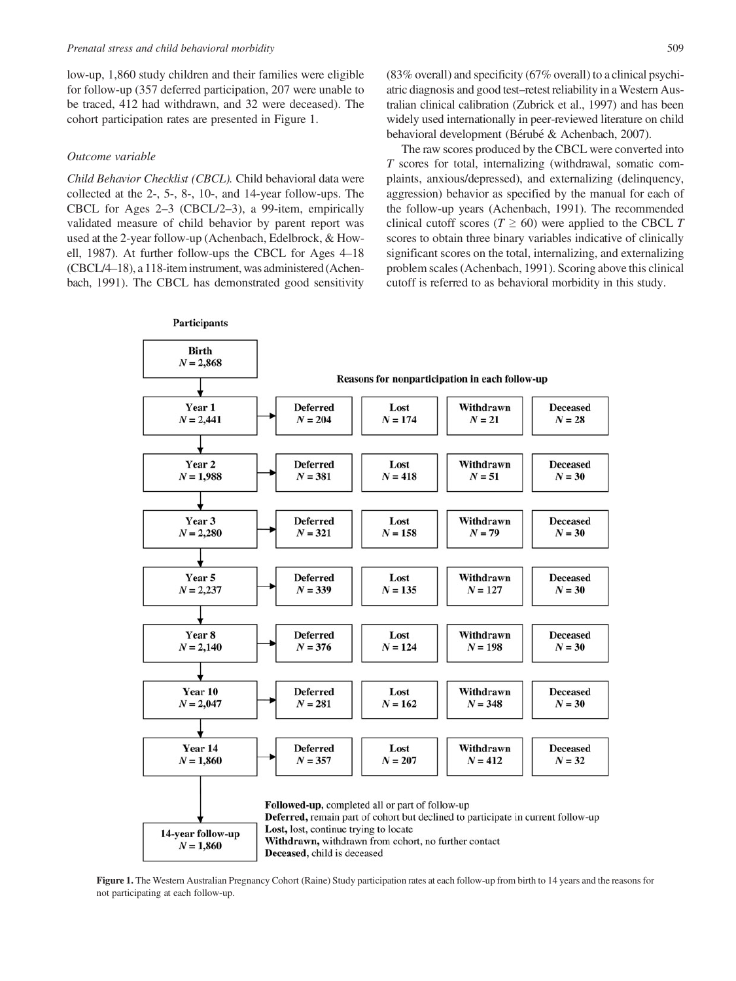low-up, 1,860 study children and their families were eligible for follow-up (357 deferred participation, 207 were unable to be traced, 412 had withdrawn, and 32 were deceased). The cohort participation rates are presented in Figure 1.

## Outcome variable

Child Behavior Checklist (CBCL). Child behavioral data were collected at the 2-, 5-, 8-, 10-, and 14-year follow-ups. The CBCL for Ages 2–3 (CBCL/2–3), a 99-item, empirically validated measure of child behavior by parent report was used at the 2-year follow-up (Achenbach, Edelbrock, & Howell, 1987). At further follow-ups the CBCL for Ages 4–18 (CBCL/4–18), a 118-item instrument, was administered (Achenbach, 1991). The CBCL has demonstrated good sensitivity

(83% overall) and specificity (67% overall) to a clinical psychiatric diagnosis and good test–retest reliability in a Western Australian clinical calibration (Zubrick et al., 1997) and has been widely used internationally in peer-reviewed literature on child behavioral development (Bérubé & Achenbach, 2007).

The raw scores produced by the CBCL were converted into T scores for total, internalizing (withdrawal, somatic complaints, anxious/depressed), and externalizing (delinquency, aggression) behavior as specified by the manual for each of the follow-up years (Achenbach, 1991). The recommended clinical cutoff scores ( $T \ge 60$ ) were applied to the CBCL T scores to obtain three binary variables indicative of clinically significant scores on the total, internalizing, and externalizing problem scales (Achenbach, 1991). Scoring above this clinical cutoff is referred to as behavioral morbidity in this study.



Figure 1. The Western Australian Pregnancy Cohort (Raine) Study participation rates at each follow-up from birth to 14 years and the reasons for not participating at each follow-up.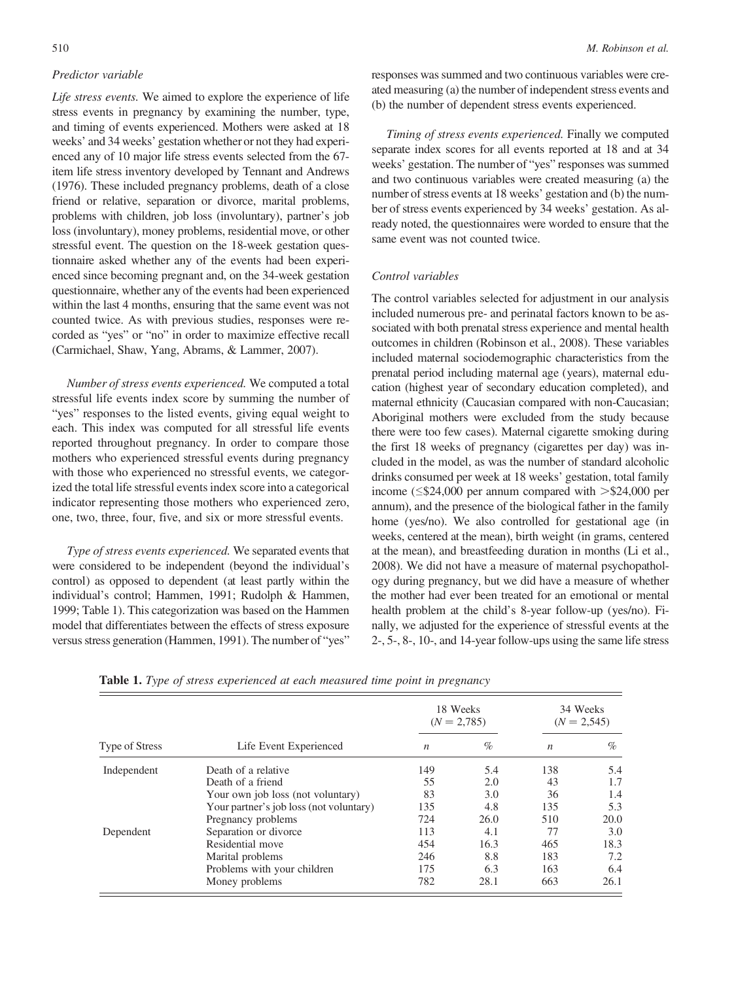# Predictor variable

Life stress events. We aimed to explore the experience of life stress events in pregnancy by examining the number, type, and timing of events experienced. Mothers were asked at 18 weeks' and 34 weeks' gestation whether or not they had experienced any of 10 major life stress events selected from the 67 item life stress inventory developed by Tennant and Andrews (1976). These included pregnancy problems, death of a close friend or relative, separation or divorce, marital problems, problems with children, job loss (involuntary), partner's job loss (involuntary), money problems, residential move, or other stressful event. The question on the 18-week gestation questionnaire asked whether any of the events had been experienced since becoming pregnant and, on the 34-week gestation questionnaire, whether any of the events had been experienced within the last 4 months, ensuring that the same event was not counted twice. As with previous studies, responses were recorded as "yes" or "no" in order to maximize effective recall (Carmichael, Shaw, Yang, Abrams, & Lammer, 2007).

Number of stress events experienced. We computed a total stressful life events index score by summing the number of "yes" responses to the listed events, giving equal weight to each. This index was computed for all stressful life events reported throughout pregnancy. In order to compare those mothers who experienced stressful events during pregnancy with those who experienced no stressful events, we categorized the total life stressful events index score into a categorical indicator representing those mothers who experienced zero, one, two, three, four, five, and six or more stressful events.

Type of stress events experienced. We separated events that were considered to be independent (beyond the individual's control) as opposed to dependent (at least partly within the individual's control; Hammen, 1991; Rudolph & Hammen, 1999; Table 1). This categorization was based on the Hammen model that differentiates between the effects of stress exposure versus stress generation (Hammen, 1991). The number of "yes"

responses was summed and two continuous variables were created measuring (a) the number of independent stress events and (b) the number of dependent stress events experienced.

Timing of stress events experienced. Finally we computed separate index scores for all events reported at 18 and at 34 weeks' gestation. The number of "yes" responses was summed and two continuous variables were created measuring (a) the number of stress events at 18 weeks' gestation and (b) the number of stress events experienced by 34 weeks' gestation. As already noted, the questionnaires were worded to ensure that the same event was not counted twice.

## Control variables

The control variables selected for adjustment in our analysis included numerous pre- and perinatal factors known to be associated with both prenatal stress experience and mental health outcomes in children (Robinson et al., 2008). These variables included maternal sociodemographic characteristics from the prenatal period including maternal age (years), maternal education (highest year of secondary education completed), and maternal ethnicity (Caucasian compared with non-Caucasian; Aboriginal mothers were excluded from the study because there were too few cases). Maternal cigarette smoking during the first 18 weeks of pregnancy (cigarettes per day) was included in the model, as was the number of standard alcoholic drinks consumed per week at 18 weeks' gestation, total family income ( $\leq$ \$24,000 per annum compared with  $>$ \$24,000 per annum), and the presence of the biological father in the family home (yes/no). We also controlled for gestational age (in weeks, centered at the mean), birth weight (in grams, centered at the mean), and breastfeeding duration in months (Li et al., 2008). We did not have a measure of maternal psychopathology during pregnancy, but we did have a measure of whether the mother had ever been treated for an emotional or mental health problem at the child's 8-year follow-up (yes/no). Finally, we adjusted for the experience of stressful events at the 2-, 5-, 8-, 10-, and 14-year follow-ups using the same life stress

18 Weeks  $(N = 2,785)$ 34 Weeks  $(N = 2,545)$ Type of Stress  $\qquad \qquad$  Life Event Experienced  $n \qquad \qquad % \qquad n \qquad \qquad %$ Independent Death of a relative 149 5.4 138 5.4<br>Death of a friend 55 2.0 43 1.7 Death of a friend  $55$  2.0 43 1.7<br>
Your own job loss (not voluntary) 83 3.0 36 1.4 Your own job loss (not voluntary) Your partner's job loss (not voluntary) 135 4.8 135 5.3 Pregnancy problems 724 26.0 510 20.0 Dependent Separation or divorce 113 4.1 77 3.0<br>Residential move 454 16.3 465 18.3 Residential move  $\begin{array}{ccc} 454 & 16.3 \\ \text{Marital problems} & 246 & 8.8 \end{array}$ Marital problems 246 8.8 183 7.2 Problems with your children 175 6.3 163 6.4 Money problems 782 28.1 663 26.1

Table 1. Type of stress experienced at each measured time point in pregnancy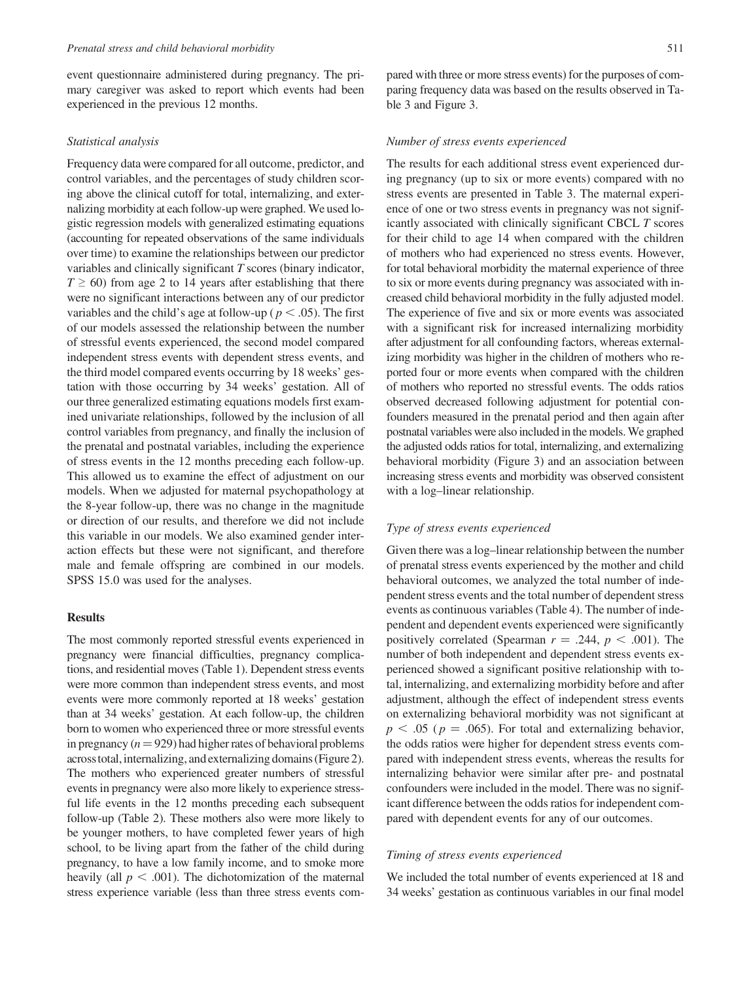event questionnaire administered during pregnancy. The primary caregiver was asked to report which events had been experienced in the previous 12 months.

## Statistical analysis

Frequency data were compared for all outcome, predictor, and control variables, and the percentages of study children scoring above the clinical cutoff for total, internalizing, and externalizing morbidity at each follow-up were graphed. We used logistic regression models with generalized estimating equations (accounting for repeated observations of the same individuals over time) to examine the relationships between our predictor variables and clinically significant T scores (binary indicator,  $T \geq 60$ ) from age 2 to 14 years after establishing that there were no significant interactions between any of our predictor variables and the child's age at follow-up ( $p < .05$ ). The first of our models assessed the relationship between the number of stressful events experienced, the second model compared independent stress events with dependent stress events, and the third model compared events occurring by 18 weeks' gestation with those occurring by 34 weeks' gestation. All of our three generalized estimating equations models first examined univariate relationships, followed by the inclusion of all control variables from pregnancy, and finally the inclusion of the prenatal and postnatal variables, including the experience of stress events in the 12 months preceding each follow-up. This allowed us to examine the effect of adjustment on our models. When we adjusted for maternal psychopathology at the 8-year follow-up, there was no change in the magnitude or direction of our results, and therefore we did not include this variable in our models. We also examined gender interaction effects but these were not significant, and therefore male and female offspring are combined in our models. SPSS 15.0 was used for the analyses.

#### Results

The most commonly reported stressful events experienced in pregnancy were financial difficulties, pregnancy complications, and residential moves (Table 1). Dependent stress events were more common than independent stress events, and most events were more commonly reported at 18 weeks' gestation than at 34 weeks' gestation. At each follow-up, the children born to women who experienced three or more stressful events in pregnancy  $(n = 929)$  had higher rates of behavioral problems across total, internalizing, and externalizing domains (Figure 2). The mothers who experienced greater numbers of stressful events in pregnancy were also more likely to experience stressful life events in the 12 months preceding each subsequent follow-up (Table 2). These mothers also were more likely to be younger mothers, to have completed fewer years of high school, to be living apart from the father of the child during pregnancy, to have a low family income, and to smoke more heavily (all  $p < .001$ ). The dichotomization of the maternal stress experience variable (less than three stress events compared with three or more stress events) for the purposes of comparing frequency data was based on the results observed in Table 3 and Figure 3.

#### Number of stress events experienced

The results for each additional stress event experienced during pregnancy (up to six or more events) compared with no stress events are presented in Table 3. The maternal experience of one or two stress events in pregnancy was not significantly associated with clinically significant CBCL T scores for their child to age 14 when compared with the children of mothers who had experienced no stress events. However, for total behavioral morbidity the maternal experience of three to six or more events during pregnancy was associated with increased child behavioral morbidity in the fully adjusted model. The experience of five and six or more events was associated with a significant risk for increased internalizing morbidity after adjustment for all confounding factors, whereas externalizing morbidity was higher in the children of mothers who reported four or more events when compared with the children of mothers who reported no stressful events. The odds ratios observed decreased following adjustment for potential confounders measured in the prenatal period and then again after postnatal variables were also included in the models. We graphed the adjusted odds ratios for total, internalizing, and externalizing behavioral morbidity (Figure 3) and an association between increasing stress events and morbidity was observed consistent with a log–linear relationship.

#### Type of stress events experienced

Given there was a log–linear relationship between the number of prenatal stress events experienced by the mother and child behavioral outcomes, we analyzed the total number of independent stress events and the total number of dependent stress events as continuous variables (Table 4). The number of independent and dependent events experienced were significantly positively correlated (Spearman  $r = .244$ ,  $p < .001$ ). The number of both independent and dependent stress events experienced showed a significant positive relationship with total, internalizing, and externalizing morbidity before and after adjustment, although the effect of independent stress events on externalizing behavioral morbidity was not significant at  $p < .05$  ( $p = .065$ ). For total and externalizing behavior, the odds ratios were higher for dependent stress events compared with independent stress events, whereas the results for internalizing behavior were similar after pre- and postnatal confounders were included in the model. There was no significant difference between the odds ratios for independent compared with dependent events for any of our outcomes.

## Timing of stress events experienced

We included the total number of events experienced at 18 and 34 weeks' gestation as continuous variables in our final model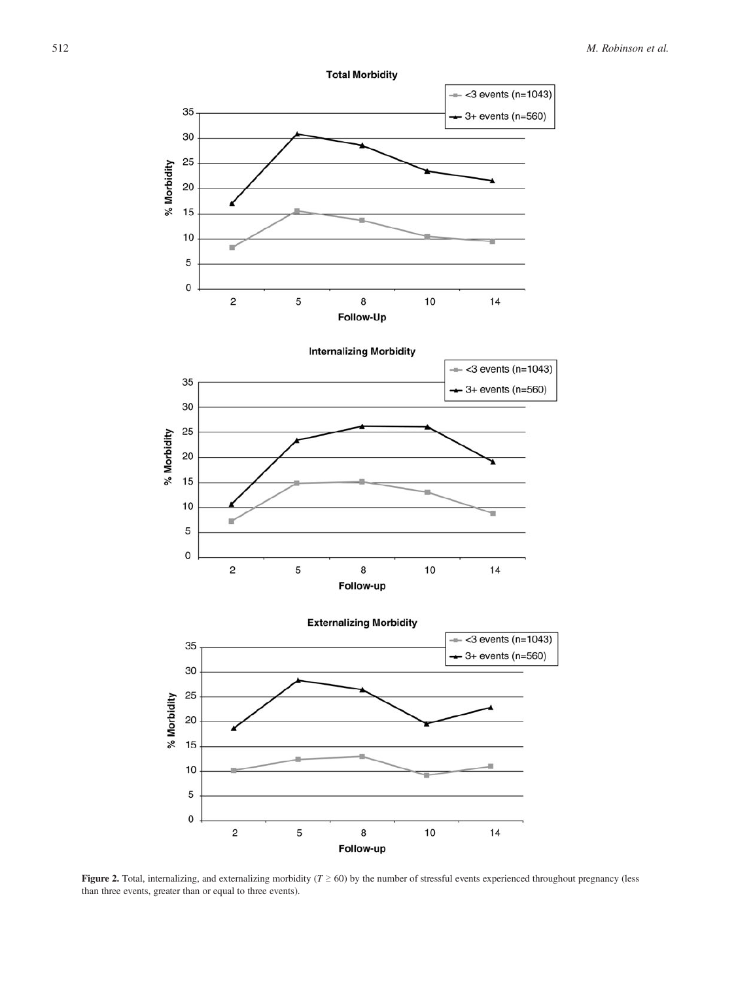

**Figure 2.** Total, internalizing, and externalizing morbidity ( $T \ge 60$ ) by the number of stressful events experienced throughout pregnancy (less than three events, greater than or equal to three events).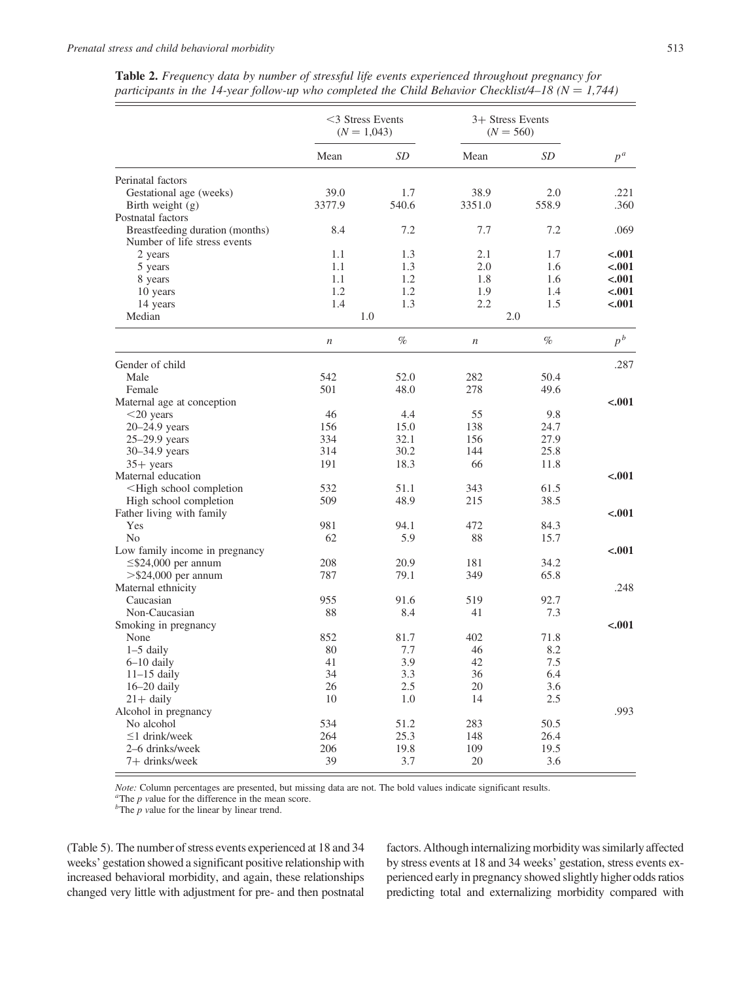|                                                                                                         | $<$ 3 Stress Events<br>$(N = 1,043)$ |                | 3+ Stress Events<br>$(N = 560)$ |            |           |
|---------------------------------------------------------------------------------------------------------|--------------------------------------|----------------|---------------------------------|------------|-----------|
|                                                                                                         | Mean                                 | SD             | Mean                            | SD         | $p^a$     |
| Perinatal factors                                                                                       |                                      |                |                                 |            |           |
| Gestational age (weeks)                                                                                 | 39.0                                 | 1.7            | 38.9                            | 2.0        | .221      |
| Birth weight (g)                                                                                        | 3377.9                               | 540.6          | 3351.0                          | 558.9      | .360      |
| Postnatal factors                                                                                       |                                      |                |                                 |            |           |
| Breastfeeding duration (months)                                                                         | 8.4                                  | 7.2            | 7.7                             | 7.2        | .069      |
| Number of life stress events                                                                            |                                      |                |                                 |            |           |
| 2 years                                                                                                 | 1.1                                  | 1.3            | 2.1                             | 1.7        | $-.001$   |
| 5 years                                                                                                 | 1.1                                  | 1.3            | 2.0                             | 1.6        | $-.001$   |
| 8 years                                                                                                 | 1.1                                  | 1.2            | 1.8                             | 1.6        | $-.001$   |
| 10 years                                                                                                | 1.2                                  | 1.2            | 1.9                             | 1.4        | $-.001$   |
| 14 years                                                                                                | 1.4                                  | 1.3            | 2.2                             | 1.5        | $-.001$   |
| Median                                                                                                  |                                      | 1.0            |                                 | 2.0        |           |
|                                                                                                         | $\boldsymbol{n}$                     | $\%$           | $\boldsymbol{n}$                | $\%$       | $p^{\,b}$ |
| Gender of child                                                                                         |                                      |                |                                 |            | .287      |
| Male                                                                                                    | 542                                  | 52.0           | 282                             | 50.4       |           |
| Female                                                                                                  | 501                                  | 48.0           | 278                             | 49.6       |           |
| Maternal age at conception                                                                              |                                      |                |                                 |            | $-.001$   |
| $<$ 20 years                                                                                            | 46                                   | 4.4            | 55                              | 9.8        |           |
| 20-24.9 years                                                                                           | 156                                  | 15.0           | 138                             | 24.7       |           |
| $25-29.9$ years                                                                                         | 334                                  | 32.1           | 156                             | 27.9       |           |
| 30-34.9 years                                                                                           | 314                                  | 30.2           | 144                             | 25.8       |           |
| $35+$ years                                                                                             | 191                                  | 18.3           | 66                              | 11.8       |           |
| Maternal education                                                                                      |                                      |                |                                 |            | $-.001$   |
| <high completion<="" school="" td=""><td>532</td><td>51.1</td><td>343</td><td>61.5</td><td></td></high> | 532                                  | 51.1           | 343                             | 61.5       |           |
| High school completion                                                                                  | 509                                  | 48.9           | 215                             | 38.5       |           |
| Father living with family                                                                               |                                      |                |                                 |            | $-.001$   |
| Yes                                                                                                     | 981                                  | 94.1           | 472                             | 84.3       |           |
| N <sub>0</sub>                                                                                          | 62                                   | 5.9            | 88                              | 15.7       |           |
| Low family income in pregnancy                                                                          |                                      |                |                                 |            | $-.001$   |
| $\leq$ \$24,000 per annum                                                                               | 208                                  | 20.9           | 181                             | 34.2       |           |
| $>$ \$24,000 per annum                                                                                  | 787                                  | 79.1           | 349                             | 65.8       |           |
| Maternal ethnicity                                                                                      |                                      |                |                                 |            | .248      |
| Caucasian                                                                                               | 955                                  | 91.6           | 519                             | 92.7       |           |
| Non-Caucasian                                                                                           | 88                                   | 8.4            | 41                              | 7.3        |           |
| Smoking in pregnancy                                                                                    |                                      |                |                                 |            | $-.001$   |
| None                                                                                                    | 852                                  | 81.7           | 402                             | 71.8       |           |
| $1-5$ daily                                                                                             | 80                                   | 7.7            | 46                              | 8.2        |           |
| 6–10 daily                                                                                              | 41                                   | 3.9            | 42                              | 7.5        |           |
| $11-15$ daily<br>$16-20$ daily                                                                          | 34<br>26                             | 3.3<br>$2.5\,$ | 36<br>$20\,$                    | 6.4<br>3.6 |           |
|                                                                                                         | 10                                   | 1.0            | 14                              | 2.5        |           |
| $21 + \text{daily}$<br>Alcohol in pregnancy                                                             |                                      |                |                                 |            | .993      |
| No alcohol                                                                                              | 534                                  | 51.2           | 283                             | 50.5       |           |
| $\leq$ 1 drink/week                                                                                     | 264                                  | 25.3           | 148                             | 26.4       |           |
| 2-6 drinks/week                                                                                         | 206                                  | 19.8           | 109                             | 19.5       |           |
| 7+ drinks/week                                                                                          | 39                                   | 3.7            | 20                              | 3.6        |           |

Table 2. Frequency data by number of stressful life events experienced throughout pregnancy for participants in the 14-year follow-up who completed the Child Behavior Checklist/4–18 ( $N = 1,744$ )

*Note:* Column percentages are presented, but missing data are not. The bold values indicate significant results.  ${}^{\text{h}}$ The *p* value for the difference in the mean score.  ${}^{\text{h}}$ The *p* value for the linear by linea

(Table 5). The number of stress events experienced at 18 and 34 weeks' gestation showed a significant positive relationship with increased behavioral morbidity, and again, these relationships changed very little with adjustment for pre- and then postnatal factors. Although internalizing morbidity was similarly affected by stress events at 18 and 34 weeks' gestation, stress events experienced early in pregnancy showed slightly higher odds ratios predicting total and externalizing morbidity compared with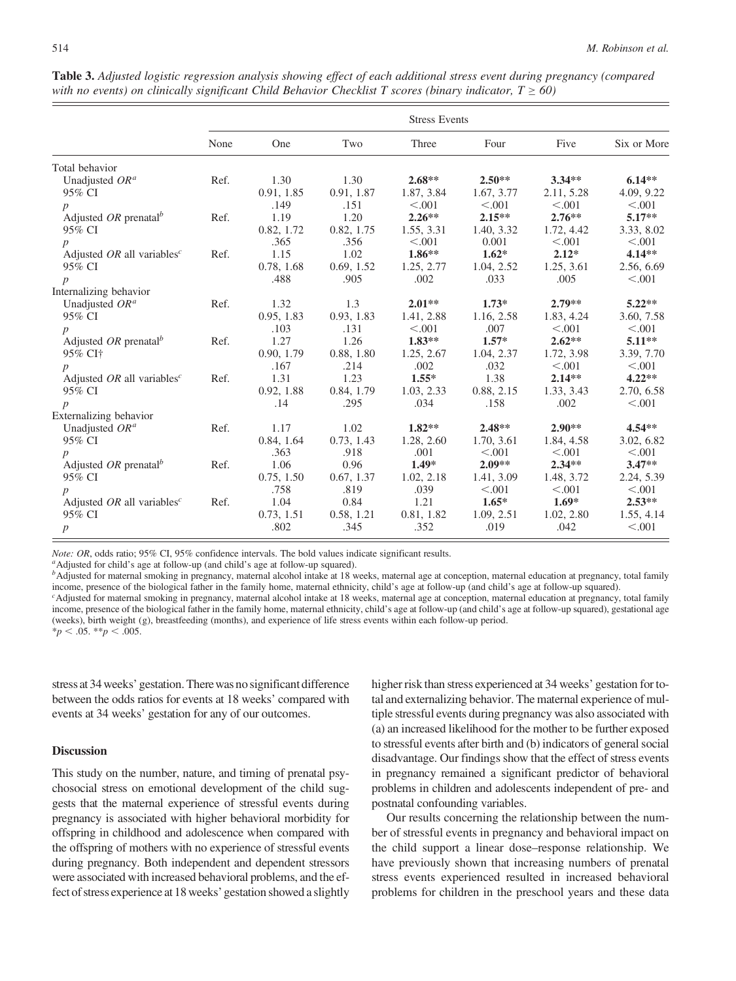|                                        | <b>Stress Events</b> |            |            |            |            |            |             |  |
|----------------------------------------|----------------------|------------|------------|------------|------------|------------|-------------|--|
|                                        | None                 | One        | Two        | Three      | Four       | Five       | Six or More |  |
| Total behavior                         |                      |            |            |            |            |            |             |  |
| Unadjusted $OR^a$                      | Ref.                 | 1.30       | 1.30       | $2.68**$   | $2.50**$   | $3.34**$   | $6.14**$    |  |
| 95% CI                                 |                      | 0.91, 1.85 | 0.91, 1.87 | 1.87, 3.84 | 1.67, 3.77 | 2.11, 5.28 | 4.09, 9.22  |  |
| $\boldsymbol{p}$                       |                      | .149       | .151       | < 0.001    | < 0.001    | < 0.001    | < 0.001     |  |
| Adjusted OR prenatal <sup>b</sup>      | Ref.                 | 1.19       | 1.20       | $2.26**$   | $2.15***$  | $2.76**$   | $5.17**$    |  |
| 95% CI                                 |                      | 0.82, 1.72 | 0.82, 1.75 | 1.55, 3.31 | 1.40, 3.32 | 1.72, 4.42 | 3.33, 8.02  |  |
| p                                      |                      | .365       | .356       | < .001     | 0.001      | < 0.001    | < 0.001     |  |
| Adjusted OR all variables <sup>c</sup> | Ref.                 | 1.15       | 1.02       | $1.86**$   | $1.62*$    | $2.12*$    | $4.14**$    |  |
| 95% CI                                 |                      | 0.78, 1.68 | 0.69, 1.52 | 1.25, 2.77 | 1.04, 2.52 | 1.25, 3.61 | 2.56, 6.69  |  |
| $\boldsymbol{p}$                       |                      | .488       | .905       | .002       | .033       | .005       | < 0.001     |  |
| Internalizing behavior                 |                      |            |            |            |            |            |             |  |
| Unadjusted $OR^a$                      | Ref.                 | 1.32       | 1.3        | $2.01**$   | $1.73*$    | $2.79**$   | $5.22**$    |  |
| 95% CI                                 |                      | 0.95, 1.83 | 0.93, 1.83 | 1.41, 2.88 | 1.16, 2.58 | 1.83, 4.24 | 3.60, 7.58  |  |
| $\boldsymbol{p}$                       |                      | .103       | .131       | < 0.001    | .007       | < 0.001    | < 0.001     |  |
| Adjusted OR prenatal <sup>b</sup>      | Ref.                 | 1.27       | 1.26       | $1.83**$   | $1.57*$    | $2.62**$   | $5.11**$    |  |
| 95% CI+                                |                      | 0.90, 1.79 | 0.88, 1.80 | 1.25, 2.67 | 1.04, 2.37 | 1.72, 3.98 | 3.39, 7.70  |  |
| $\boldsymbol{p}$                       |                      | .167       | .214       | .002       | .032       | < .001     | < .001      |  |
| Adjusted OR all variables <sup>c</sup> | Ref.                 | 1.31       | 1.23       | $1.55*$    | 1.38       | $2.14**$   | $4.22**$    |  |
| 95% CI                                 |                      | 0.92, 1.88 | 0.84, 1.79 | 1.03, 2.33 | 0.88, 2.15 | 1.33, 3.43 | 2.70, 6.58  |  |
| $\boldsymbol{p}$                       |                      | .14        | .295       | .034       | .158       | .002       | < .001      |  |
| Externalizing behavior                 |                      |            |            |            |            |            |             |  |
| Unadjusted $OR^a$                      | Ref.                 | 1.17       | 1.02       | $1.82**$   | $2.48**$   | $2.90**$   | $4.54**$    |  |
| 95% CI                                 |                      | 0.84, 1.64 | 0.73, 1.43 | 1.28, 2.60 | 1.70, 3.61 | 1.84, 4.58 | 3.02, 6.82  |  |
| $\boldsymbol{p}$                       |                      | .363       | .918       | .001       | < 0.001    | < 0.001    | < 0.001     |  |
| Adjusted OR prenatal <sup>b</sup>      | Ref.                 | 1.06       | 0.96       | $1.49*$    | $2.09**$   | $2.34**$   | $3.47**$    |  |
| 95% CI                                 |                      | 0.75, 1.50 | 0.67, 1.37 | 1.02, 2.18 | 1.41, 3.09 | 1.48, 3.72 | 2.24, 5.39  |  |
| $\boldsymbol{p}$                       |                      | .758       | .819       | .039       | $<.001$    | $<.001$    | < .001      |  |
| Adjusted OR all variables <sup>c</sup> | Ref.                 | 1.04       | 0.84       | 1.21       | $1.65*$    | $1.69*$    | $2.53**$    |  |
| 95% CI                                 |                      | 0.73, 1.51 | 0.58, 1.21 | 0.81, 1.82 | 1.09, 2.51 | 1.02, 2.80 | 1.55, 4.14  |  |
| $\boldsymbol{p}$                       |                      | .802       | .345       | .352       | .019       | .042       | < .001      |  |
|                                        |                      |            |            |            |            |            |             |  |

|  |  | Table 3. Adjusted logistic regression analysis showing effect of each additional stress event during pregnancy (compared |  |  |  |  |  |
|--|--|--------------------------------------------------------------------------------------------------------------------------|--|--|--|--|--|
|  |  | with no events) on clinically significant Child Behavior Checklist T scores (binary indicator, $T \ge 60$ )              |  |  |  |  |  |

*Note:* OR, odds ratio; 95% CI, 95% confidence intervals. The bold values indicate significant results.  $\alpha$ Adjusted for child's age at follow-up (and child's age at follow-up squared).

 ${}^b$ Adjusted for maternal smoking in pregnancy, maternal alcohol intake at 18 weeks, maternal age at conception, maternal education at pregnancy, total family income, presence of the biological father in the family home, maternal ethnicity, child's age at follow-up (and child's age at follow-up squared).

<sup>c</sup>Adjusted for maternal smoking in pregnancy, maternal alcohol intake at 18 weeks, maternal age at conception, maternal education at pregnancy, total family income, presence of the biological father in the family home, maternal ethnicity, child's age at follow-up (and child's age at follow-up squared), gestational age (weeks), birth weight (g), breastfeeding (months), and experience of life stress events within each follow-up period.  $*_p$  < .05.  $*_p$  < .005.

stress at 34 weeks' gestation. Therewas no significant difference between the odds ratios for events at 18 weeks' compared with events at 34 weeks' gestation for any of our outcomes.

# **Discussion**

This study on the number, nature, and timing of prenatal psychosocial stress on emotional development of the child suggests that the maternal experience of stressful events during pregnancy is associated with higher behavioral morbidity for offspring in childhood and adolescence when compared with the offspring of mothers with no experience of stressful events during pregnancy. Both independent and dependent stressors were associated with increased behavioral problems, and the effect of stress experience at 18 weeks' gestation showed a slightly higher risk than stress experienced at 34 weeks' gestation for total and externalizing behavior. The maternal experience of multiple stressful events during pregnancy was also associated with (a) an increased likelihood for the mother to be further exposed to stressful events after birth and (b) indicators of general social disadvantage. Our findings show that the effect of stress events in pregnancy remained a significant predictor of behavioral problems in children and adolescents independent of pre- and postnatal confounding variables.

Our results concerning the relationship between the number of stressful events in pregnancy and behavioral impact on the child support a linear dose–response relationship. We have previously shown that increasing numbers of prenatal stress events experienced resulted in increased behavioral problems for children in the preschool years and these data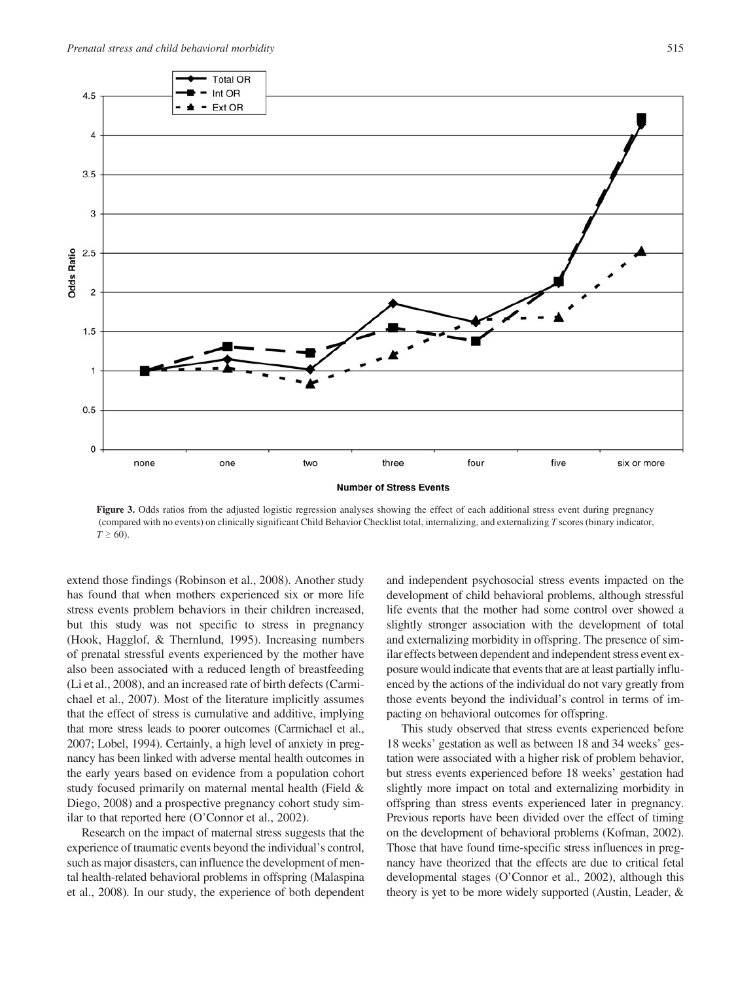

Figure 3. Odds ratios from the adjusted logistic regression analyses showing the effect of each additional stress event during pregnancy (compared with no events) on clinically significant Child Behavior Checklist total, internalizing, and externalizing T scores (binary indicator,  $T \geq 60$ ).

extend those findings (Robinson et al., 2008). Another study has found that when mothers experienced six or more life stress events problem behaviors in their children increased, but this study was not specific to stress in pregnancy (Hook, Hagglof, & Thernlund, 1995). Increasing numbers of prenatal stressful events experienced by the mother have also been associated with a reduced length of breastfeeding (Li et al., 2008), and an increased rate of birth defects (Carmichael et al., 2007). Most of the literature implicitly assumes that the effect of stress is cumulative and additive, implying that more stress leads to poorer outcomes (Carmichael et al., 2007; Lobel, 1994). Certainly, a high level of anxiety in pregnancy has been linked with adverse mental health outcomes in the early years based on evidence from a population cohort study focused primarily on maternal mental health (Field & Diego, 2008) and a prospective pregnancy cohort study similar to that reported here (O'Connor et al., 2002).

Research on the impact of maternal stress suggests that the experience of traumatic events beyond the individual's control, such as major disasters, can influence the development of mental health-related behavioral problems in offspring (Malaspina et al., 2008). In our study, the experience of both dependent and independent psychosocial stress events impacted on the development of child behavioral problems, although stressful life events that the mother had some control over showed a slightly stronger association with the development of total and externalizing morbidity in offspring. The presence of similar effects between dependent and independent stress event exposure would indicate that events that are at least partially influenced by the actions of the individual do not vary greatly from those events beyond the individual's control in terms of impacting on behavioral outcomes for offspring.

This study observed that stress events experienced before 18 weeks' gestation as well as between 18 and 34 weeks' gestation were associated with a higher risk of problem behavior, but stress events experienced before 18 weeks' gestation had slightly more impact on total and externalizing morbidity in offspring than stress events experienced later in pregnancy. Previous reports have been divided over the effect of timing on the development of behavioral problems (Kofman, 2002). Those that have found time-specific stress influences in pregnancy have theorized that the effects are due to critical fetal developmental stages (O'Connor et al., 2002), although this theory is yet to be more widely supported (Austin, Leader, &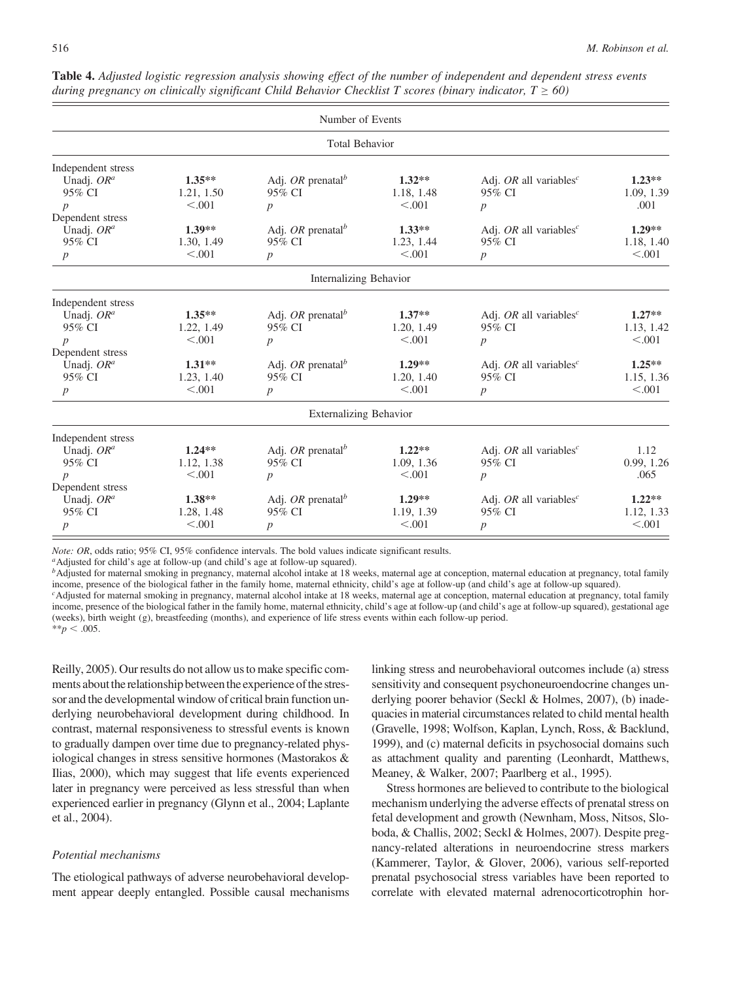|                        |            | Number of Events              |            |                                    |            |
|------------------------|------------|-------------------------------|------------|------------------------------------|------------|
|                        |            | <b>Total Behavior</b>         |            |                                    |            |
| Independent stress     |            |                               |            |                                    |            |
| Unadj. $OR^a$          | $1.35**$   | Adj. OR prenatal <sup>b</sup> | $1.32**$   | Adj. OR all variables <sup>c</sup> | $1.23**$   |
| 95% CI                 | 1.21, 1.50 | 95% CI                        | 1.18, 1.48 | 95% CI                             | 1.09, 1.39 |
| $\boldsymbol{p}$       | < 0.001    | $\boldsymbol{p}$              | < 0.001    | $\boldsymbol{p}$                   | .001       |
| Dependent stress       |            |                               |            |                                    |            |
| Unadj. OR <sup>a</sup> | $1.39**$   | Adj. OR prenatal <sup>b</sup> | $1.33**$   | Adj. OR all variables <sup>c</sup> | $1.29**$   |
| 95% CI                 | 1.30, 1.49 | 95% CI                        | 1.23, 1.44 | 95% CI                             | 1.18, 1.40 |
| $\boldsymbol{p}$       | < 0.001    | $\boldsymbol{p}$              | < 0.001    | $\boldsymbol{p}$                   | < 0.001    |
|                        |            | <b>Internalizing Behavior</b> |            |                                    |            |
| Independent stress     |            |                               |            |                                    |            |
| Unadj. $OR^a$          | $1.35***$  | Adj. OR prenatal <sup>b</sup> | $1.37**$   | Adj. OR all variables <sup>c</sup> | $1.27**$   |
| 95% CI                 | 1.22, 1.49 | 95% CI                        | 1.20, 1.49 | 95% CI                             | 1.13, 1.42 |
| $\boldsymbol{p}$       | < .001     | $\boldsymbol{p}$              | < 0.001    | $\boldsymbol{p}$                   | < 0.001    |
| Dependent stress       |            |                               |            |                                    |            |
| Unadj. OR <sup>a</sup> | $1.31**$   | Adj. OR prenatal <sup>b</sup> | $1.29**$   | Adj. OR all variables <sup>c</sup> | $1.25***$  |
| 95% CI                 | 1.23, 1.40 | 95% CI                        | 1.20, 1.40 | 95% CI                             | 1.15, 1.36 |
| $\boldsymbol{p}$       | < 0.001    | $\boldsymbol{p}$              | < 0.001    | $\boldsymbol{p}$                   | < 0.001    |
|                        |            | <b>Externalizing Behavior</b> |            |                                    |            |
| Independent stress     |            |                               |            |                                    |            |
| Unadj. OR <sup>a</sup> | $1.24**$   | Adj. OR prenatal $^b$         | $1.22**$   | Adj. OR all variables <sup>c</sup> | 1.12       |
| 95% CI                 | 1.12, 1.38 | 95% CI                        | 1.09, 1.36 | 95% CI                             | 0.99, 1.26 |
| $\boldsymbol{p}$       | < 0.001    | $\boldsymbol{p}$              | < 0.001    | $\boldsymbol{p}$                   | .065       |
| Dependent stress       |            |                               |            |                                    |            |
| Unadj. $OR^a$          | $1.38**$   | Adj. OR prenatal <sup>b</sup> | $1.29**$   | Adj. OR all variables <sup>c</sup> | $1.22**$   |
| 95% CI                 | 1.28, 1.48 | 95% CI                        | 1.19, 1.39 | 95% CI                             | 1.12, 1.33 |
| $\boldsymbol{p}$       | < 0.001    | $\boldsymbol{p}$              | < 0.001    | $\boldsymbol{p}$                   | < 0.001    |

| Table 4. Adjusted logistic regression analysis showing effect of the number of independent and dependent stress events |  |  |
|------------------------------------------------------------------------------------------------------------------------|--|--|
| during pregnancy on clinically significant Child Behavior Checklist T scores (binary indicator, $T \ge 60$ )           |  |  |

*Note:* OR, odds ratio; 95% CI, 95% confidence intervals. The bold values indicate significant results.  $\alpha$ Adjusted for child's age at follow-up (and child's age at follow-up squared).

<sup>b</sup>Adjusted for maternal smoking in pregnancy, maternal alcohol intake at 18 weeks, maternal age at conception, maternal education at pregnancy, total family income, presence of the biological father in the family home, maternal ethnicity, child's age at follow-up (and child's age at follow-up squared).

<sup>c</sup>Adjusted for maternal smoking in pregnancy, maternal alcohol intake at 18 weeks, maternal age at conception, maternal education at pregnancy, total family income, presence of the biological father in the family home, maternal ethnicity, child's age at follow-up (and child's age at follow-up squared), gestational age (weeks), birth weight (g), breastfeeding (months), and experience of life stress events within each follow-up period. \*\* $p < .005$ .

Reilly, 2005). Our results do not allow us to make specific comments about the relationship between the experience of the stressor and the developmental window of critical brain function underlying neurobehavioral development during childhood. In contrast, maternal responsiveness to stressful events is known to gradually dampen over time due to pregnancy-related physiological changes in stress sensitive hormones (Mastorakos & Ilias, 2000), which may suggest that life events experienced later in pregnancy were perceived as less stressful than when experienced earlier in pregnancy (Glynn et al., 2004; Laplante et al., 2004).

## Potential mechanisms

The etiological pathways of adverse neurobehavioral development appear deeply entangled. Possible causal mechanisms linking stress and neurobehavioral outcomes include (a) stress sensitivity and consequent psychoneuroendocrine changes underlying poorer behavior (Seckl & Holmes, 2007), (b) inadequacies in material circumstances related to child mental health (Gravelle, 1998; Wolfson, Kaplan, Lynch, Ross, & Backlund, 1999), and (c) maternal deficits in psychosocial domains such as attachment quality and parenting (Leonhardt, Matthews, Meaney, & Walker, 2007; Paarlberg et al., 1995).

Stress hormones are believed to contribute to the biological mechanism underlying the adverse effects of prenatal stress on fetal development and growth (Newnham, Moss, Nitsos, Sloboda, & Challis, 2002; Seckl & Holmes, 2007). Despite pregnancy-related alterations in neuroendocrine stress markers (Kammerer, Taylor, & Glover, 2006), various self-reported prenatal psychosocial stress variables have been reported to correlate with elevated maternal adrenocorticotrophin hor-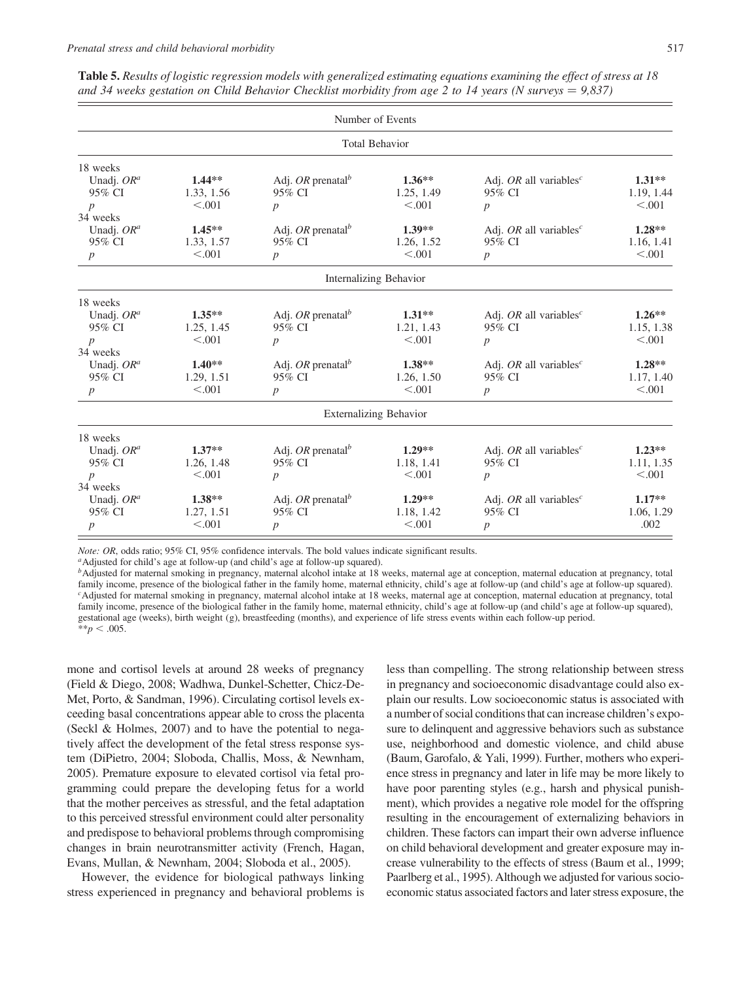|                         |                        |                                         | Number of Events              |                                      |                        |
|-------------------------|------------------------|-----------------------------------------|-------------------------------|--------------------------------------|------------------------|
|                         |                        |                                         | <b>Total Behavior</b>         |                                      |                        |
| 18 weeks                |                        |                                         |                               |                                      |                        |
| Unadj. $OR^a$           | $1.44**$               | Adj. OR prenatal <sup>b</sup>           | $1.36**$                      | Adj. OR all variables <sup>c</sup>   | $1.31**$               |
| 95% CI                  | 1.33, 1.56             | 95% CI                                  | 1.25, 1.49                    | 95% CI                               | 1.19, 1.44             |
| $\boldsymbol{p}$        | < .001                 | $\boldsymbol{p}$                        | < 0.001                       | $\boldsymbol{p}$                     | < 0.001                |
| 34 weeks                |                        |                                         |                               |                                      |                        |
| Unadj. $OR^a$<br>95% CI | $1.45**$<br>1.33, 1.57 | Adj. OR prenatal <sup>b</sup><br>95% CI | $1.39**$<br>1.26, 1.52        | Adj. OR all variables $^c$<br>95% CI | $1.28**$<br>1.16, 1.41 |
|                         | < 0.001                |                                         | < 0.001                       |                                      | < 0.001                |
| $\boldsymbol{p}$        |                        | $\boldsymbol{p}$                        |                               | $\boldsymbol{p}$                     |                        |
|                         |                        |                                         | <b>Internalizing Behavior</b> |                                      |                        |
| 18 weeks                |                        |                                         |                               |                                      |                        |
| Unadj. $OR^a$           | $1.35***$              | Adj. OR prenatal $^b$                   | $1.31**$                      | Adj. OR all variables <sup>c</sup>   | $1.26**$               |
| 95% CI                  | 1.25, 1.45             | 95% CI                                  | 1.21, 1.43                    | 95% CI                               | 1.15, 1.38             |
| $\boldsymbol{p}$        | < 0.001                | $\boldsymbol{p}$                        | < .001                        | $\boldsymbol{p}$                     | < 0.001                |
| 34 weeks                |                        |                                         |                               |                                      |                        |
| Unadj. $OR^a$           | $1.40**$               | Adj. OR prenatal <sup>b</sup>           | $1.38**$                      | Adj. OR all variables <sup>c</sup>   | $1.28**$               |
| 95% CI                  | 1.29, 1.51             | 95% CI                                  | 1.26, 1.50                    | 95% CI                               | 1.17, 1.40             |
| $\boldsymbol{p}$        | < 0.001                | $\boldsymbol{p}$                        | < 0.001                       | $\boldsymbol{p}$                     | < 0.001                |
|                         |                        |                                         | <b>Externalizing Behavior</b> |                                      |                        |
| 18 weeks                |                        |                                         |                               |                                      |                        |
| Unadj. OR <sup>a</sup>  | $1.37**$               | Adj. OR prenatal <sup>b</sup>           | $1.29**$                      | Adj. OR all variables <sup>c</sup>   | $1.23**$               |
| 95% CI                  | 1.26, 1.48             | 95% CI                                  | 1.18, 1.41                    | 95% CI                               | 1.11, 1.35             |
| $\boldsymbol{p}$        | < 0.001                | $\boldsymbol{p}$                        | < .001                        | $\boldsymbol{p}$                     | < 0.001                |
| 34 weeks                |                        |                                         |                               |                                      |                        |
| Unadj. $OR^a$           | $1.38**$               | Adj. OR prenatal <sup>b</sup>           | $1.29**$                      | Adj. OR all variables <sup>c</sup>   | $1.17**$               |
| 95% CI                  | 1.27, 1.51             | 95% CI                                  | 1.18, 1.42                    | 95% CI                               | 1.06, 1.29             |
| $\boldsymbol{p}$        | < 0.001                | $\boldsymbol{p}$                        | < 0.001                       | $\boldsymbol{p}$                     | .002                   |

Table 5. Results of logistic regression models with generalized estimating equations examining the effect of stress at 18 and 34 weeks gestation on Child Behavior Checklist morbidity from age 2 to 14 years (N surveys  $= 9,837$ )

*Note:* OR, odds ratio; 95% CI, 95% confidence intervals. The bold values indicate significant results.  $\alpha$ Adjusted for child's age at follow-up (and child's age at follow-up squared).

<sup>b</sup>Adjusted for maternal smoking in pregnancy, maternal alcohol intake at 18 weeks, maternal age at conception, maternal education at pregnancy, total family income, presence of the biological father in the family home, maternal ethnicity, child's age at follow-up (and child's age at follow-up squared).<br>"Adjusted for maternal smoking in pregnancy, maternal alcohol intake family income, presence of the biological father in the family home, maternal ethnicity, child's age at follow-up (and child's age at follow-up squared), gestational age (weeks), birth weight (g), breastfeeding (months), and experience of life stress events within each follow-up period. \*\* $p < .005$ .

mone and cortisol levels at around 28 weeks of pregnancy (Field & Diego, 2008; Wadhwa, Dunkel-Schetter, Chicz-De-Met, Porto, & Sandman, 1996). Circulating cortisol levels exceeding basal concentrations appear able to cross the placenta (Seckl & Holmes, 2007) and to have the potential to negatively affect the development of the fetal stress response system (DiPietro, 2004; Sloboda, Challis, Moss, & Newnham, 2005). Premature exposure to elevated cortisol via fetal programming could prepare the developing fetus for a world that the mother perceives as stressful, and the fetal adaptation to this perceived stressful environment could alter personality and predispose to behavioral problems through compromising changes in brain neurotransmitter activity (French, Hagan, Evans, Mullan, & Newnham, 2004; Sloboda et al., 2005).

However, the evidence for biological pathways linking stress experienced in pregnancy and behavioral problems is

less than compelling. The strong relationship between stress in pregnancy and socioeconomic disadvantage could also explain our results. Low socioeconomic status is associated with a number of social conditions that can increase children's exposure to delinquent and aggressive behaviors such as substance use, neighborhood and domestic violence, and child abuse (Baum, Garofalo, & Yali, 1999). Further, mothers who experience stress in pregnancy and later in life may be more likely to have poor parenting styles (e.g., harsh and physical punishment), which provides a negative role model for the offspring resulting in the encouragement of externalizing behaviors in children. These factors can impart their own adverse influence on child behavioral development and greater exposure may increase vulnerability to the effects of stress (Baum et al., 1999; Paarlberg et al., 1995). Although we adjusted for various socioeconomic status associated factors and later stress exposure, the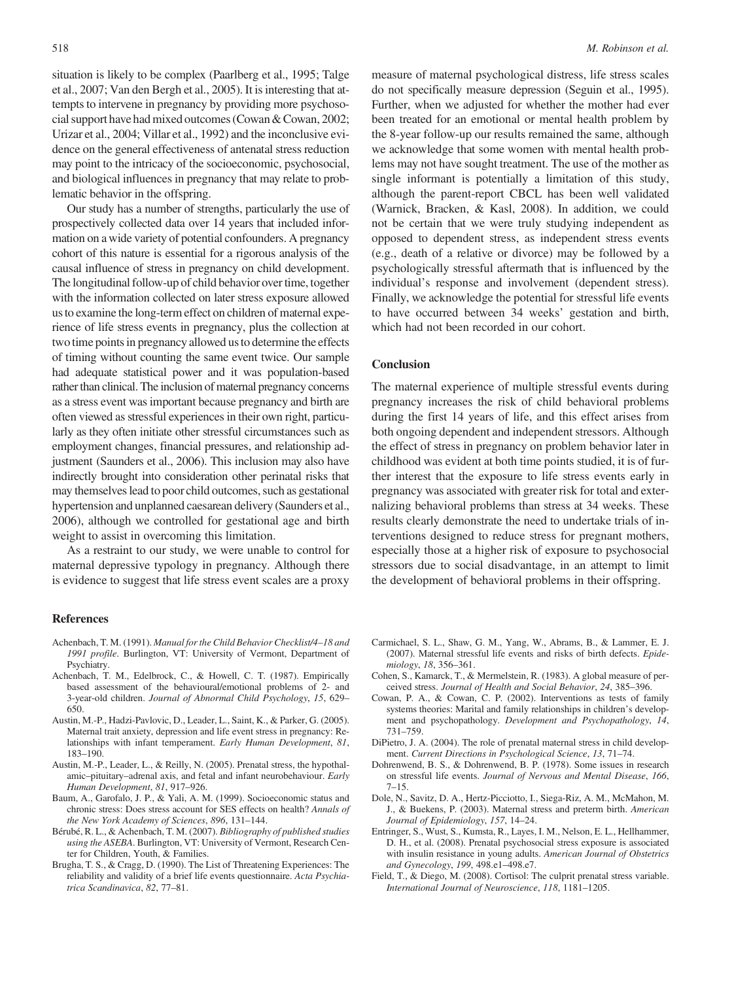situation is likely to be complex (Paarlberg et al., 1995; Talge et al., 2007; Van den Bergh et al., 2005). It is interesting that attempts to intervene in pregnancy by providing more psychosocial support have had mixed outcomes (Cowan & Cowan, 2002; Urizar et al., 2004; Villar et al., 1992) and the inconclusive evidence on the general effectiveness of antenatal stress reduction may point to the intricacy of the socioeconomic, psychosocial, and biological influences in pregnancy that may relate to problematic behavior in the offspring.

Our study has a number of strengths, particularly the use of prospectively collected data over 14 years that included information on a wide variety of potential confounders. A pregnancy cohort of this nature is essential for a rigorous analysis of the causal influence of stress in pregnancy on child development. The longitudinal follow-up of child behavior over time, together with the information collected on later stress exposure allowed us to examine the long-term effect on children of maternal experience of life stress events in pregnancy, plus the collection at two time points in pregnancy allowed us to determine the effects of timing without counting the same event twice. Our sample had adequate statistical power and it was population-based rather than clinical. The inclusion of maternal pregnancy concerns as a stress event was important because pregnancy and birth are often viewed as stressful experiences in their own right, particularly as they often initiate other stressful circumstances such as employment changes, financial pressures, and relationship adjustment (Saunders et al., 2006). This inclusion may also have indirectly brought into consideration other perinatal risks that may themselves lead to poor child outcomes, such as gestational hypertension and unplanned caesarean delivery (Saunders et al., 2006), although we controlled for gestational age and birth weight to assist in overcoming this limitation.

As a restraint to our study, we were unable to control for maternal depressive typology in pregnancy. Although there is evidence to suggest that life stress event scales are a proxy

#### References

- Achenbach, T. M. (1991). Manual for the Child Behavior Checklist/4–18 and 1991 profile. Burlington, VT: University of Vermont, Department of Psychiatry.
- Achenbach, T. M., Edelbrock, C., & Howell, C. T. (1987). Empirically based assessment of the behavioural/emotional problems of 2- and 3-year-old children. Journal of Abnormal Child Psychology, 15, 629– 650.
- Austin, M.-P., Hadzi-Pavlovic, D., Leader, L., Saint, K., & Parker, G. (2005). Maternal trait anxiety, depression and life event stress in pregnancy: Relationships with infant temperament. Early Human Development, 81, 183–190.
- Austin, M.-P., Leader, L., & Reilly, N. (2005). Prenatal stress, the hypothalamic–pituitary–adrenal axis, and fetal and infant neurobehaviour. Early Human Development, 81, 917–926.
- Baum, A., Garofalo, J. P., & Yali, A. M. (1999). Socioeconomic status and chronic stress: Does stress account for SES effects on health? Annals of the New York Academy of Sciences, 896, 131–144.
- Bérubé, R. L., & Achenbach, T. M. (2007). Bibliography of published studies using the ASEBA. Burlington, VT: University of Vermont, Research Center for Children, Youth, & Families.
- Brugha, T. S., & Cragg, D. (1990). The List of Threatening Experiences: The reliability and validity of a brief life events questionnaire. Acta Psychiatrica Scandinavica, 82, 77–81.

measure of maternal psychological distress, life stress scales do not specifically measure depression (Seguin et al., 1995). Further, when we adjusted for whether the mother had ever been treated for an emotional or mental health problem by the 8-year follow-up our results remained the same, although we acknowledge that some women with mental health problems may not have sought treatment. The use of the mother as single informant is potentially a limitation of this study, although the parent-report CBCL has been well validated (Warnick, Bracken, & Kasl, 2008). In addition, we could not be certain that we were truly studying independent as opposed to dependent stress, as independent stress events (e.g., death of a relative or divorce) may be followed by a psychologically stressful aftermath that is influenced by the individual's response and involvement (dependent stress). Finally, we acknowledge the potential for stressful life events to have occurred between 34 weeks' gestation and birth, which had not been recorded in our cohort.

# **Conclusion**

The maternal experience of multiple stressful events during pregnancy increases the risk of child behavioral problems during the first 14 years of life, and this effect arises from both ongoing dependent and independent stressors. Although the effect of stress in pregnancy on problem behavior later in childhood was evident at both time points studied, it is of further interest that the exposure to life stress events early in pregnancy was associated with greater risk for total and externalizing behavioral problems than stress at 34 weeks. These results clearly demonstrate the need to undertake trials of interventions designed to reduce stress for pregnant mothers, especially those at a higher risk of exposure to psychosocial stressors due to social disadvantage, in an attempt to limit the development of behavioral problems in their offspring.

- Carmichael, S. L., Shaw, G. M., Yang, W., Abrams, B., & Lammer, E. J. (2007). Maternal stressful life events and risks of birth defects. Epidemiology, 18, 356–361.
- Cohen, S., Kamarck, T., & Mermelstein, R. (1983). A global measure of perceived stress. Journal of Health and Social Behavior, 24, 385–396.
- Cowan, P. A., & Cowan, C. P. (2002). Interventions as tests of family systems theories: Marital and family relationships in children's development and psychopathology. Development and Psychopathology, 14, 731–759.
- DiPietro, J. A. (2004). The role of prenatal maternal stress in child development. Current Directions in Psychological Science, 13, 71–74.
- Dohrenwend, B. S., & Dohrenwend, B. P. (1978). Some issues in research on stressful life events. Journal of Nervous and Mental Disease, 166, 7–15.
- Dole, N., Savitz, D. A., Hertz-Picciotto, I., Siega-Riz, A. M., McMahon, M. J., & Buekens, P. (2003). Maternal stress and preterm birth. American Journal of Epidemiology, 157, 14–24.
- Entringer, S., Wust, S., Kumsta, R., Layes, I. M., Nelson, E. L., Hellhammer, D. H., et al. (2008). Prenatal psychosocial stress exposure is associated with insulin resistance in young adults. American Journal of Obstetrics and Gynecology, 199, 498.e1–498.e7.
- Field, T., & Diego, M. (2008). Cortisol: The culprit prenatal stress variable. International Journal of Neuroscience, 118, 1181–1205.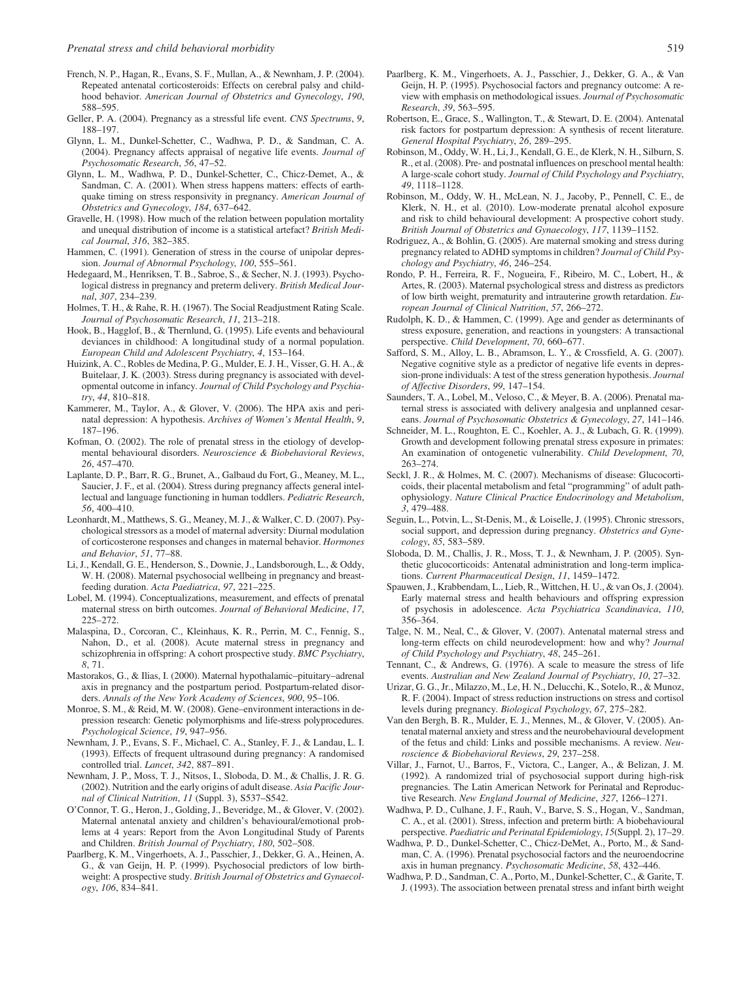- French, N. P., Hagan, R., Evans, S. F., Mullan, A., & Newnham, J. P. (2004). Repeated antenatal corticosteroids: Effects on cerebral palsy and childhood behavior. American Journal of Obstetrics and Gynecology, 190, 588–595.
- Geller, P. A. (2004). Pregnancy as a stressful life event. CNS Spectrums, 9, 188–197.
- Glynn, L. M., Dunkel-Schetter, C., Wadhwa, P. D., & Sandman, C. A. (2004). Pregnancy affects appraisal of negative life events. Journal of Psychosomatic Research, 56, 47–52.
- Glynn, L. M., Wadhwa, P. D., Dunkel-Schetter, C., Chicz-Demet, A., & Sandman, C. A. (2001). When stress happens matters: effects of earthquake timing on stress responsivity in pregnancy. American Journal of Obstetrics and Gynecology, 184, 637–642.
- Gravelle, H. (1998). How much of the relation between population mortality and unequal distribution of income is a statistical artefact? British Medical Journal, 316, 382–385.
- Hammen, C. (1991). Generation of stress in the course of unipolar depression. Journal of Abnormal Psychology, 100, 555–561.
- Hedegaard, M., Henriksen, T. B., Sabroe, S., & Secher, N. J. (1993). Psychological distress in pregnancy and preterm delivery. British Medical Journal, 307, 234–239.
- Holmes, T. H., & Rahe, R. H. (1967). The Social Readjustment Rating Scale. Journal of Psychosomatic Research, 11, 213–218.
- Hook, B., Hagglof, B., & Thernlund, G. (1995). Life events and behavioural deviances in childhood: A longitudinal study of a normal population. European Child and Adolescent Psychiatry, 4, 153–164.
- Huizink, A. C., Robles de Medina, P. G., Mulder, E. J. H., Visser, G. H. A., & Buitelaar, J. K. (2003). Stress during pregnancy is associated with developmental outcome in infancy. Journal of Child Psychology and Psychiatry, 44, 810–818.
- Kammerer, M., Taylor, A., & Glover, V. (2006). The HPA axis and perinatal depression: A hypothesis. Archives of Women's Mental Health, 9, 187–196.
- Kofman, O. (2002). The role of prenatal stress in the etiology of developmental behavioural disorders. Neuroscience & Biobehavioral Reviews, 26, 457–470.
- Laplante, D. P., Barr, R. G., Brunet, A., Galbaud du Fort, G., Meaney, M. L., Saucier, J. F., et al. (2004). Stress during pregnancy affects general intellectual and language functioning in human toddlers. Pediatric Research, 56, 400–410.
- Leonhardt, M., Matthews, S. G., Meaney, M. J., & Walker, C. D. (2007). Psychological stressors as a model of maternal adversity: Diurnal modulation of corticosterone responses and changes in maternal behavior. Hormones and Behavior, 51, 77–88.
- Li, J., Kendall, G. E., Henderson, S., Downie, J., Landsborough, L., & Oddy, W. H. (2008). Maternal psychosocial wellbeing in pregnancy and breastfeeding duration. Acta Paediatrica, 97, 221–225.
- Lobel, M. (1994). Conceptualizations, measurement, and effects of prenatal maternal stress on birth outcomes. Journal of Behavioral Medicine, 17, 225–272.
- Malaspina, D., Corcoran, C., Kleinhaus, K. R., Perrin, M. C., Fennig, S., Nahon, D., et al. (2008). Acute maternal stress in pregnancy and schizophrenia in offspring: A cohort prospective study. BMC Psychiatry, 8, 71.
- Mastorakos, G., & Ilias, I. (2000). Maternal hypothalamic–pituitary–adrenal axis in pregnancy and the postpartum period. Postpartum-related disorders. Annals of the New York Academy of Sciences, 900, 95–106.
- Monroe, S. M., & Reid, M. W. (2008). Gene–environment interactions in depression research: Genetic polymorphisms and life-stress polyprocedures. Psychological Science, 19, 947–956.
- Newnham, J. P., Evans, S. F., Michael, C. A., Stanley, F. J., & Landau, L. I. (1993). Effects of frequent ultrasound during pregnancy: A randomised controlled trial. Lancet, 342, 887–891.
- Newnham, J. P., Moss, T. J., Nitsos, I., Sloboda, D. M., & Challis, J. R. G. (2002). Nutrition and the early origins of adult disease. Asia Pacific Journal of Clinical Nutrition, 11 (Suppl. 3), S537–S542.
- O'Connor, T. G., Heron, J., Golding, J., Beveridge, M., & Glover, V. (2002). Maternal antenatal anxiety and children's behavioural/emotional problems at 4 years: Report from the Avon Longitudinal Study of Parents and Children. British Journal of Psychiatry, 180, 502–508.
- Paarlberg, K. M., Vingerhoets, A. J., Passchier, J., Dekker, G. A., Heinen, A. G., & van Geijn, H. P. (1999). Psychosocial predictors of low birthweight: A prospective study. British Journal of Obstetrics and Gynaecology, 106, 834–841.
- Paarlberg, K. M., Vingerhoets, A. J., Passchier, J., Dekker, G. A., & Van Geijn, H. P. (1995). Psychosocial factors and pregnancy outcome: A review with emphasis on methodological issues. Journal of Psychosomatic Research, 39, 563–595.
- Robertson, E., Grace, S., Wallington, T., & Stewart, D. E. (2004). Antenatal risk factors for postpartum depression: A synthesis of recent literature. General Hospital Psychiatry, 26, 289–295.
- Robinson, M., Oddy, W. H., Li, J., Kendall, G. E., de Klerk, N. H., Silburn, S. R., et al. (2008). Pre- and postnatal influences on preschool mental health: A large-scale cohort study. Journal of Child Psychology and Psychiatry, 49, 1118–1128.
- Robinson, M., Oddy, W. H., McLean, N. J., Jacoby, P., Pennell, C. E., de Klerk, N. H., et al. (2010). Low-moderate prenatal alcohol exposure and risk to child behavioural development: A prospective cohort study. British Journal of Obstetrics and Gynaecology, 117, 1139–1152.
- Rodriguez, A., & Bohlin, G. (2005). Are maternal smoking and stress during pregnancy related to ADHD symptoms in children? Journal of Child Psychology and Psychiatry, 46, 246–254.
- Rondo, P. H., Ferreira, R. F., Nogueira, F., Ribeiro, M. C., Lobert, H., & Artes, R. (2003). Maternal psychological stress and distress as predictors of low birth weight, prematurity and intrauterine growth retardation. European Journal of Clinical Nutrition, 57, 266–272.
- Rudolph, K. D., & Hammen, C. (1999). Age and gender as determinants of stress exposure, generation, and reactions in youngsters: A transactional perspective. Child Development, 70, 660–677.
- Safford, S. M., Alloy, L. B., Abramson, L. Y., & Crossfield, A. G. (2007). Negative cognitive style as a predictor of negative life events in depression-prone individuals: A test of the stress generation hypothesis. Journal of Affective Disorders, 99, 147–154.
- Saunders, T. A., Lobel, M., Veloso, C., & Meyer, B. A. (2006). Prenatal maternal stress is associated with delivery analgesia and unplanned cesareans. Journal of Psychosomatic Obstetrics & Gynecology, 27, 141–146.
- Schneider, M. L., Roughton, E. C., Koehler, A. J., & Lubach, G. R. (1999). Growth and development following prenatal stress exposure in primates: An examination of ontogenetic vulnerability. Child Development, 70, 263–274.
- Seckl, J. R., & Holmes, M. C. (2007). Mechanisms of disease: Glucocorticoids, their placental metabolism and fetal "programming" of adult pathophysiology. Nature Clinical Practice Endocrinology and Metabolism, 3, 479–488.
- Seguin, L., Potvin, L., St-Denis, M., & Loiselle, J. (1995). Chronic stressors, social support, and depression during pregnancy. Obstetrics and Gynecology, 85, 583–589.
- Sloboda, D. M., Challis, J. R., Moss, T. J., & Newnham, J. P. (2005). Synthetic glucocorticoids: Antenatal administration and long-term implications. Current Pharmaceutical Design, 11, 1459–1472.
- Spauwen, J., Krabbendam, L., Lieb, R., Wittchen, H. U., & van Os, J. (2004). Early maternal stress and health behaviours and offspring expression of psychosis in adolescence. Acta Psychiatrica Scandinavica, 110, 356–364.
- Talge, N. M., Neal, C., & Glover, V. (2007). Antenatal maternal stress and long-term effects on child neurodevelopment: how and why? Journal of Child Psychology and Psychiatry, 48, 245–261.
- Tennant, C., & Andrews, G. (1976). A scale to measure the stress of life events. Australian and New Zealand Journal of Psychiatry, 10, 27–32.
- Urizar, G. G., Jr., Milazzo, M., Le, H. N., Delucchi, K., Sotelo, R., & Munoz, R. F. (2004). Impact of stress reduction instructions on stress and cortisol levels during pregnancy. Biological Psychology, 67, 275–282.
- Van den Bergh, B. R., Mulder, E. J., Mennes, M., & Glover, V. (2005). Antenatal maternal anxiety and stress and the neurobehavioural development of the fetus and child: Links and possible mechanisms. A review. Neuroscience & Biobehavioral Reviews, 29, 237–258.
- Villar, J., Farnot, U., Barros, F., Victora, C., Langer, A., & Belizan, J. M. (1992). A randomized trial of psychosocial support during high-risk pregnancies. The Latin American Network for Perinatal and Reproductive Research. New England Journal of Medicine, 327, 1266–1271.
- Wadhwa, P. D., Culhane, J. F., Rauh, V., Barve, S. S., Hogan, V., Sandman, C. A., et al. (2001). Stress, infection and preterm birth: A biobehavioural perspective. Paediatric and Perinatal Epidemiology, 15(Suppl. 2), 17–29.
- Wadhwa, P. D., Dunkel-Schetter, C., Chicz-DeMet, A., Porto, M., & Sandman, C. A. (1996). Prenatal psychosocial factors and the neuroendocrine axis in human pregnancy. Psychosomatic Medicine, 58, 432–446.
- Wadhwa, P. D., Sandman, C. A., Porto, M., Dunkel-Schetter, C., & Garite, T. J. (1993). The association between prenatal stress and infant birth weight